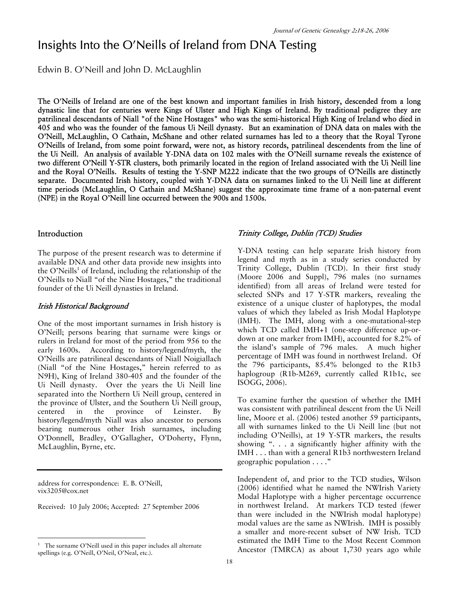# Insights Into the O'Neills of Ireland from DNA Testing

Edwin B. O'Neill and John D. McLaughlin

The O'Neills of Ireland are one of the best known and important families in Irish history, descended from a long dynastic line that for centuries were Kings of Ulster and High Kings of Ireland. By traditional pedigree they are patrilineal descendants of Niall "of the Nine Hostages" who was the semi-historical High King of Ireland who died in 405 and who was the founder of the famous Ui Neill dynasty. But an examination of DNA data on males with the O'Neill, McLaughlin, O Cathain, McShane and other related surnames has led to a theory that the Royal Tyrone O'Neills of Ireland, from some point forward, were not, as history records, patrilineal descendents from the line of the Ui Neill. An analysis of available Y-DNA data on 102 males with the O'Neill surname reveals the existence of two different O'Neill Y-STR clusters, both primarily located in the region of Ireland associated with the Ui Neill line and the Royal O'Neills. Results of testing the Y-SNP M222 indicate that the two groups of O'Neills are distinctly separate. Documented Irish history, coupled with Y-DNA data on surnames linked to the Ui Neill line at different time periods (McLaughlin, O Cathain and McShane) suggest the approximate time frame of a non-paternal event (NPE) in the Royal O'Neill line occurred between the 900s and 1500s.

### Introduction

The purpose of the present research was to determine if available DNA and other data provide new insights into the O'Neills<sup>1</sup> of Ireland, including the relationship of the O'Neills to Niall "of the Nine Hostages," the traditional founder of the Ui Neill dynasties in Ireland.

#### Irish Historical Background

One of the most important surnames in Irish history is O'Neill; persons bearing that surname were kings or rulers in Ireland for most of the period from 956 to the early 1600s. According to history/legend/myth, the O'Neills are patrilineal descendants of Niall Noigiallach (Niall "of the Nine Hostages," herein referred to as N9H), King of Ireland 380-405 and the founder of the Ui Neill dynasty. Over the years the Ui Neill line separated into the Northern Ui Neill group, centered in the province of Ulster, and the Southern Ui Neill group, centered in the province of Leinster. By history/legend/myth Niall was also ancestor to persons bearing numerous other Irish surnames, including O'Donnell, Bradley, O'Gallagher, O'Doherty, Flynn, McLaughlin, Byrne, etc.

address for correspondence: E. B. O'Neill, vix3205@cox.net

 $\overline{a}$ 

Received: 10 July 2006; Accepted: 27 September 2006

#### Trinity College, Dublin (TCD) Studies

Y-DNA testing can help separate Irish history from legend and myth as in a study series conducted by Trinity College, Dublin (TCD). In their first study (Moore 2006 and Suppl), 796 males (no surnames identified) from all areas of Ireland were tested for selected SNPs and 17 Y-STR markers, revealing the existence of a unique cluster of haplotypes, the modal values of which they labeled as Irish Modal Haplotype (IMH). The IMH, along with a one-mutational-step which TCD called IMH+1 (one-step difference up-ordown at one marker from IMH), accounted for 8.2% of the island's sample of 796 males. A much higher percentage of IMH was found in northwest Ireland. Of the 796 participants, 85.4% belonged to the R1b3 haplogroup (R1b-M269, currently called R1b1c, see ISOGG, 2006).

To examine further the question of whether the IMH was consistent with patrilineal descent from the Ui Neill line, Moore et al. (2006) tested another 59 participants, all with surnames linked to the Ui Neill line (but not including O'Neills), at 19 Y-STR markers, the results showing ". . . a significantly higher affinity with the IMH . . . than with a general R1b3 northwestern Ireland geographic population . . . ."

Independent of, and prior to the TCD studies, Wilson (2006) identified what he named the NWIrish Variety Modal Haplotype with a higher percentage occurrence in northwest Ireland. At markers TCD tested (fewer than were included in the NWIrish modal haplotype) modal values are the same as NWIrish. IMH is possibly a smaller and more-recent subset of NW Irish. TCD estimated the IMH Time to the Most Recent Common Ancestor (TMRCA) as about 1,730 years ago while

<sup>1</sup> The surname O'Neill used in this paper includes all alternate spellings (e.g. O'Neill, O'Neil, O'Neal, etc.).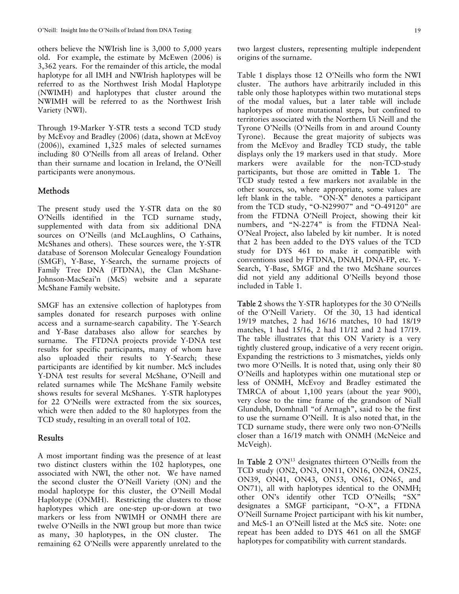others believe the NWIrish line is 3,000 to 5,000 years old. For example, the estimate by McEwen (2006) is 3,362 years. For the remainder of this article, the modal haplotype for all IMH and NWIrish haplotypes will be referred to as the Northwest Irish Modal Haplotype (NWIMH) and haplotypes that cluster around the NWIMH will be referred to as the Northwest Irish Variety (NWI).

Through 19-Marker Y-STR tests a second TCD study by McEvoy and Bradley (2006) (data, shown at McEvoy (2006)), examined 1,325 males of selected surnames including 80 O'Neills from all areas of Ireland. Other than their surname and location in Ireland, the O'Neill participants were anonymous.

### Methods

The present study used the Y-STR data on the 80 O'Neills identified in the TCD surname study, supplemented with data from six additional DNA sources on O'Neills (and McLaughlins, O Cathains, McShanes and others). These sources were, the Y-STR database of Sorenson Molecular Genealogy Foundation (SMGF), Y-Base, Y-Search, the surname projects of Family Tree DNA (FTDNA), the Clan McShane-Johnson-MacSeai'n (McS) website and a separate McShane Family website.

SMGF has an extensive collection of haplotypes from samples donated for research purposes with online access and a surname-search capability. The Y-Search and Y-Base databases also allow for searches by surname. The FTDNA projects provide Y-DNA test results for specific participants, many of whom have also uploaded their results to Y-Search; these participants are identified by kit number. McS includes Y-DNA test results for several McShane, O'Neill and related surnames while The McShane Family website shows results for several McShanes. Y-STR haplotypes for 22 O'Neills were extracted from the six sources, which were then added to the 80 haplotypes from the TCD study, resulting in an overall total of 102.

#### Results

A most important finding was the presence of at least two distinct clusters within the 102 haplotypes, one associated with NWI, the other not. We have named the second cluster the O'Neill Variety (ON) and the modal haplotype for this cluster, the O'Neill Modal Haplotype (ONMH). Restricting the clusters to those haplotypes which are one-step up-or-down at two markers or less from NWIMH or ONMH there are twelve O'Neills in the NWI group but more than twice as many, 30 haplotypes, in the ON cluster. The remaining 62 O'Neills were apparently unrelated to the two largest clusters, representing multiple independent origins of the surname.

Table 1 displays those 12 O'Neills who form the NWI cluster. The authors have arbitrarily included in this table only those haplotypes within two mutational steps of the modal values, but a later table will include haplotypes of more mutational steps, but confined to territories associated with the Northern Ui Neill and the Tyrone O'Neills (O'Neills from in and around County Tyrone). Because the great majority of subjects was from the McEvoy and Bradley TCD study, the table displays only the 19 markers used in that study. More markers were available for the non-TCD-study participants, but those are omitted in Table 1. The TCD study tested a few markers not available in the other sources, so, where appropriate, some values are left blank in the table. "ON-X" denotes a participant from the TCD study, "O-N29907" and "O- $49120$ " are from the FTDNA O'Neill Project, showing their kit numbers, and "N-2274" is from the FTDNA Neal-O'Neal Project, also labeled by kit number. It is noted that 2 has been added to the DYS values of the TCD study for DYS 461 to make it compatible with conventions used by FTDNA, DNAH, DNA-FP, etc. Y-Search, Y-Base, SMGF and the two McShane sources did not yield any additional O'Neills beyond those included in Table 1.

Table 2 shows the Y-STR haplotypes for the 30 O'Neills of the O'Neill Variety. Of the 30, 13 had identical 19/19 matches, 2 had 16/16 matches, 10 had 18/19 matches, 1 had 15/16, 2 had 11/12 and 2 had 17/19. The table illustrates that this ON Variety is a very tightly clustered group, indicative of a very recent origin. Expanding the restrictions to 3 mismatches, yields only two more O'Neills. It is noted that, using only their 80 O'Neills and haplotypes within one mutational step or less of ONMH, McEvoy and Bradley estimated the TMRCA of about 1,100 years (about the year 900), very close to the time frame of the grandson of Niall Glundubh, Domhnall "of Armagh", said to be the first to use the surname O'Neill. It is also noted that, in the TCD surname study, there were only two non-O'Neills closer than a 16/19 match with ONMH (McNeice and McVeigh).

In Table 2  $O'N^{13}$  designates thirteen O'Neills from the TCD study (ON2, ON3, ON11, ON16, ON24, ON25, ON39, ON41, ON43, ON53, ON61, ON65, and ON71), all with haplotypes identical to the ONMH; other ON's identify other TCD O'Neills; "SX" designates a SMGF participant, "O-X", a FTDNA O'Neill Surname Project participant with his kit number, and McS-1 an O'Neill listed at the McS site. Note: one repeat has been added to DYS 461 on all the SMGF haplotypes for compatibility with current standards.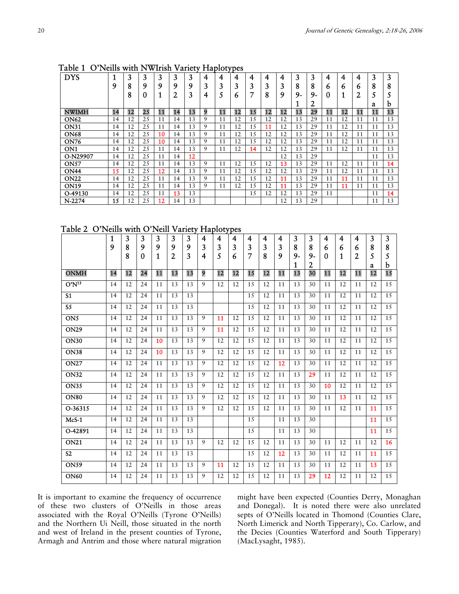| <b>DYS</b>      |    | 3  | 3   | 3  | 3  | 3  | 4 | 4  | 4  | 4   | 4  | 4  | 3     | 3    | 4  | 4  | 4              | 3  | 3  |
|-----------------|----|----|-----|----|----|----|---|----|----|-----|----|----|-------|------|----|----|----------------|----|----|
|                 | 9  | 8  | 9   | 9  | 9  | 9  | 3 | 3  | 3  | 3   | 3  | 3  | 8     | 8    | 6  | b  | 6              | 8  | 8  |
|                 |    | 8  | 0   | л  | ി  | 3  | 4 |    | o  | 7   | 8  | 9  | $9 -$ | $9-$ |    | 1  | $\overline{2}$ |    |    |
|                 |    |    |     |    |    |    |   |    |    |     |    |    |       | 2    |    |    |                | a  | h  |
| NWIMH           | 14 | 12 | 25  | 11 | 14 | 13 | 9 | 11 | 12 | 15  | 12 | 12 | 13    | 29   | 11 | 12 | 11             | 11 | 13 |
| <b>ON62</b>     | 14 | 12 | 25  | 11 | 14 | 13 | 9 | 11 | 12 | 15  | 12 | 12 | 13    | 29   | 11 | 12 | 11             | 11 | 13 |
| <b>ON31</b>     | 14 | 12 | 25  | 11 | 14 | 13 | 9 | 11 | 12 | 1.5 | 11 | 12 | 13    | 29   | 11 | 12 | 11             | 11 | 13 |
| <b>ON68</b>     | 14 | 12 | 2.5 | 10 | 14 | 13 | 9 | 11 | 12 | 1.5 | 12 | 12 | 13    | 29   | 11 | 12 | 11             | 11 | 13 |
| <b>ON76</b>     | 14 | 12 | 2.5 | 10 | 14 | 13 | 9 | 11 | 12 | 1.5 | 12 | 12 | 13    | 29   | 11 | 12 | 11             | 11 | 13 |
| ON <sub>1</sub> | 14 | 12 | 25  | 11 | 14 | 13 | 9 | 11 | 12 | 14  | 12 | 12 | 13    | 29   | 11 | 12 | 11             | 11 | 13 |
| O-N29907        | 14 | 12 | 25  | 11 | 14 | 12 |   |    |    |     |    | 12 | 13    | 29   |    |    |                | 11 | 13 |
| <b>ON57</b>     | 14 | 12 | 25  | 11 | 14 | 13 | 9 | 11 | 12 | 1.5 | 12 | 13 | 13    | 29   | 11 | 12 | 11             | 11 | 14 |
| <b>ON44</b>     | 15 | 12 | 25  | 12 | 14 | 13 | 9 | 11 | 12 | 15  | 12 | 12 | 13    | 29   | 11 | 12 | 11             | 11 | 13 |
| <b>ON22</b>     | 14 | 12 | 25  | 11 | 14 | 13 | 9 | 11 | 12 | 15  | 12 | 11 | 13    | 29   | 11 | 11 | 11             | 11 | 13 |
| <b>ON19</b>     | 14 | 12 | 25  | 11 | 14 | 13 | 9 | 11 | 12 | 1.5 | 12 | 11 | 13    | 29   | 11 | 11 | 11             | 11 | 13 |
| O-49130         | 14 | 12 | 25  | 11 | 13 | 13 |   |    |    | 15  | 12 | 12 | 13    | 29   | 11 |    |                | 11 | 14 |
| N-2274          | 15 | 12 | 25  | 12 | 14 | 13 |   |    |    |     |    | 12 | 13    | 29   |    |    |                | 11 | 13 |

Table 1 O'Neills with NWIrish Variety Haplotypes

Table 2 O'Neills with O'Neill Variety Haplotypes

|                          | 1  | 3      | 3             | 3      | 3      | 3      | 4      | 4      | 4      | 4      | 4      | 4      | 3         | 3         | 4      | 4      | 4                   | 3      | 3           |
|--------------------------|----|--------|---------------|--------|--------|--------|--------|--------|--------|--------|--------|--------|-----------|-----------|--------|--------|---------------------|--------|-------------|
|                          | 9  | 8<br>8 | 9<br>$\Omega$ | 9<br>1 | 9<br>2 | 9<br>3 | 3<br>4 | 3<br>5 | 3<br>6 | 3<br>7 | 3<br>8 | 3<br>9 | 8<br>$9-$ | 8<br>$9-$ | 6<br>0 | 6<br>1 | 6<br>$\overline{2}$ | 8<br>5 | 8<br>5      |
|                          |    |        |               |        |        |        |        |        |        |        |        |        | 1         | 2         |        |        |                     | a      | $\mathbf b$ |
| <b>ONMH</b>              | 14 | 12     | 24            | 11     | 13     | 13     | 9      | 12     | 12     | 15     | 12     | 11     | 13        | 30        | 11     | 12     | 11                  | 12     | 15          |
| $O'N^{13}$               | 14 | 12     | 24            | 11     | 13     | 13     | 9      | 12     | 12     | 15     | 12     | 11     | 13        | 30        | 11     | 12     | 11                  | 12     | 15          |
| S <sub>1</sub>           | 14 | 12     | 24            | 11     | 13     | 13     |        |        |        | 1.5    | 12     | 11     | 13        | 30        | 11     | 12     | 11                  | 12     | 15          |
| $\overline{\mathsf{S5}}$ | 14 | 12     | 24            | 11     | 13     | 13     |        |        |        | 15     | 12     | 11     | 13        | 30        | 11     | 12     | 11                  | 12     | 15          |
| ON <sub>5</sub>          | 14 | 12     | 24            | 11     | 13     | 13     | 9      | 11     | 12     | 15     | 12     | 11     | 13        | 30        | 11     | 12     | 11                  | 12     | 15          |
| <b>ON29</b>              | 14 | 12     | 24            | 11     | 13     | 13     | 9      | 11     | 12     | 15     | 12     | 11     | 13        | 30        | 11     | 12     | 11                  | 12     | 15          |
| <b>ON30</b>              | 14 | 12     | 24            | 10     | 13     | 13     | 9      | 12     | 12     | 15     | 12     | 11     | 13        | 30        | 11     | 12     | 11                  | 12     | 15          |
| <b>ON38</b>              | 14 | 12     | 24            | 10     | 13     | 13     | 9      | 12     | 12     | 15     | 12     | 11     | 13        | 30        | 11     | 12     | 11                  | 12     | 15          |
| <b>ON27</b>              | 14 | 12     | 24            | 11     | 13     | 13     | 9      | 12     | 12     | 15     | 12     | 12     | 13        | 30        | 11     | 12     | 11                  | 12     | 15          |
| <b>ON32</b>              | 14 | 12     | 24            | 11     | 13     | 13     | 9      | 12     | 12     | 15     | 12     | 11     | 13        | 29        | 11     | 12     | 11                  | 12     | 15          |
| <b>ON35</b>              | 14 | 12     | 24            | 11     | 13     | 13     | 9      | 12     | 12     | 15     | 12     | 11     | 13        | 30        | 10     | 12     | 11                  | 12     | 15          |
| <b>ON80</b>              | 14 | 12     | 24            | 11     | 13     | 13     | 9      | 12     | 12     | 15     | 12     | 11     | 13        | 30        | 11     | 13     | 11                  | 12     | 15          |
| O-36315                  | 14 | 12     | 24            | 11     | 13     | 13     | 9      | 12     | 12     | 15     | 12     | 11     | 13        | 30        | 11     | 12     | 11                  | 11     | 15          |
| $McS-1$                  | 14 | 12     | 24            | 11     | 13     | 13     |        |        |        | 15     |        | 11     | 13        | 30        |        |        |                     | 11     | 15          |
| O-42891                  | 14 | 12     | 24            | 11     | 13     | 13     |        |        |        | 15     |        | 11     | 13        | 30        |        |        |                     | 11     | 15          |
| <b>ON21</b>              | 14 | 12     | 24            | 11     | 13     | 13     | 9      | 12     | 12     | 15     | 12     | 11     | 13        | 30        | 11     | 12     | 11                  | 12     | 16          |
| S <sub>2</sub>           | 14 | 12     | 24            | 11     | 13     | 13     |        |        |        | 15     | 12     | 12     | 13        | 30        | 11     | 12     | 11                  | 11     | 15          |
| <b>ON59</b>              | 14 | 12     | 24            | 11     | 13     | 13     | 9      | 11     | 12     | 15     | 12     | 11     | 13        | 30        | 11     | 12     | 11                  | 13     | 15          |
| <b>ON60</b>              | 14 | 12     | 24            | 11     | 13     | 13     | 9      | 12     | 12     | 15     | 12     | 11     | 13        | 29        | 12     | 12     | 11                  | 12     | 15          |

It is important to examine the frequency of occurrence of these two clusters of O'Neills in those areas associated with the Royal O'Neills (Tyrone O'Neills) and the Northern Ui Neill, those situated in the north and west of Ireland in the present counties of Tyrone, Armagh and Antrim and those where natural migration might have been expected (Counties Derry, Monaghan and Donegal). It is noted there were also unrelated septs of O'Neills located in Thomond (Counties Clare, North Limerick and North Tipperary), Co. Carlow, and the Decies (Counties Waterford and South Tipperary) (MacLysaght, 1985).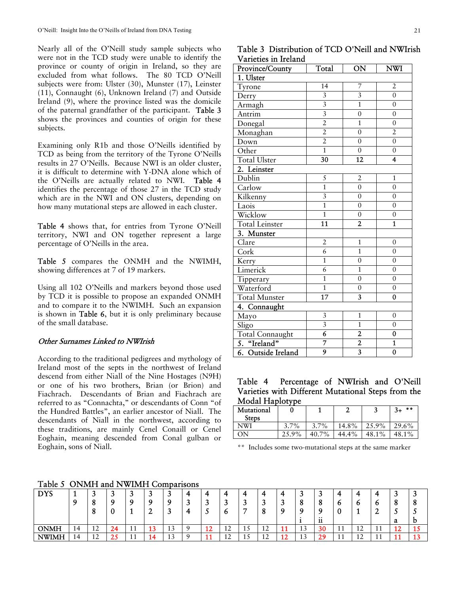Nearly all of the O'Neill study sample subjects who were not in the TCD study were unable to identify the province or county of origin in Ireland, so they are excluded from what follows. The 80 TCD O'Neill subjects were from: Ulster (30), Munster (17), Leinster (11), Connaught (6), Unknown Ireland (7) and Outside Ireland (9), where the province listed was the domicile of the paternal grandfather of the participant. Table 3 shows the provinces and counties of origin for these subjects.

Examining only R1b and those O'Neills identified by TCD as being from the territory of the Tyrone O'Neills results in 27 O'Neills. Because NWI is an older cluster, it is difficult to determine with Y-DNA alone which of the O'Neills are actually related to NWI. Table 4 identifies the percentage of those 27 in the TCD study which are in the NWI and ON clusters, depending on how many mutational steps are allowed in each cluster.

Table 4 shows that, for entries from Tyrone O'Neill territory, NWI and ON together represent a large percentage of O'Neills in the area.

Table 5 compares the ONMH and the NWIMH, showing differences at 7 of 19 markers.

Using all 102 O'Neills and markers beyond those used by TCD it is possible to propose an expanded ONMH and to compare it to the NWIMH. Such an expansion is shown in Table 6, but it is only preliminary because of the small database.

### Other Surnames Linked to NWIrish

According to the traditional pedigrees and mythology of Ireland most of the septs in the northwest of Ireland descend from either Niall of the Nine Hostages (N9H) or one of his two brothers, Brian (or Brion) and Fiachrach. Descendants of Brian and Fiachrach are referred to as "Connachta," or descendants of Conn "of the Hundred Battles", an earlier ancestor of Niall. The descendants of Niall in the northwest, according to these traditions, are mainly Cenel Conaill or Cenel Eoghain, meaning descended from Conal gulban or Eoghain, sons of Niall.

Table 5 ONMH and NWIMH Comparisons

| Table 3 Distribution of TCD O'Neill and NWIrish            |                                                                                                |  |  |
|------------------------------------------------------------|------------------------------------------------------------------------------------------------|--|--|
| Varieties in Ireland                                       |                                                                                                |  |  |
| $\mathbf{D}_{\text{model}}$ of $\mathbf{D}_{\text{model}}$ | $\Gamma$ T <sub>2</sub> 1 $\Gamma$ $\Lambda$ $\Gamma$ $\Gamma$ $\Lambda$ $\overline{\text{W}}$ |  |  |

| Province/County        | Total                     | ON                      | NWI                     |
|------------------------|---------------------------|-------------------------|-------------------------|
| 1. Ulster              |                           |                         |                         |
| Tyrone                 | 14                        | 7                       | $\overline{2}$          |
| Derry                  | $\overline{3}$            | $\overline{3}$          | $\overline{0}$          |
| Armagh                 | $\overline{3}$            | $\overline{1}$          | $\boldsymbol{0}$        |
| Antrim                 | $\overline{\overline{3}}$ | $\overline{0}$          | $\boldsymbol{0}$        |
| Donegal                | $\overline{2}$            | $\mathbf{1}$            | $\overline{0}$          |
| Monaghan               | $\overline{2}$            | $\boldsymbol{0}$        | $\overline{2}$          |
| Down                   | $\overline{2}$            | $\overline{0}$          | $\overline{0}$          |
| Other                  | $\overline{1}$            | $\boldsymbol{0}$        | $\overline{0}$          |
| <b>Total Ulster</b>    | $\overline{30}$           | $\overline{12}$         | 4                       |
| 2. Leinster            |                           |                         |                         |
| Dublin                 | 5                         | $\overline{2}$          | $\mathbf{1}$            |
| Carlow                 | $\overline{1}$            | $\overline{0}$          | $\overline{0}$          |
| Kilkenny               | $\overline{3}$            | $\overline{0}$          | $\boldsymbol{0}$        |
| Laois                  | $\overline{1}$            | $\overline{0}$          | $\overline{0}$          |
| Wicklow                | $\overline{1}$            | $\boldsymbol{0}$        | $\boldsymbol{0}$        |
| Total Leinster         | $\overline{11}$           | $\overline{2}$          | $\overline{\mathbf{1}}$ |
| 3. Munster             |                           |                         |                         |
| Clare                  | $\overline{2}$            | $\mathbf{1}$            | $\mathbf{0}$            |
| Cork                   | $\overline{6}$            | $\overline{1}$          | $\boldsymbol{0}$        |
| Kerry                  | $\overline{1}$            | $\overline{0}$          | $\boldsymbol{0}$        |
| Limerick               | $\overline{6}$            | $\mathbf 1$             | $\boldsymbol{0}$        |
| Tipperary              | $\overline{1}$            | $\overline{0}$          | $\overline{0}$          |
| Waterford              | $\overline{1}$            | $\overline{0}$          | $\overline{0}$          |
| <b>Total Munster</b>   | $\overline{17}$           | $\overline{\mathbf{3}}$ | 0                       |
| 4. Connaught           |                           |                         |                         |
| Mayo                   | $\mathfrak{Z}$            | $\mathbf{1}$            | $\boldsymbol{0}$        |
| Sligo                  | $\overline{3}$            | $\mathbf{1}$            | $\overline{0}$          |
| <b>Total Connaught</b> | $\overline{6}$            |                         | $\overline{0}$          |
| 5. "Ireland"           | $\overline{7}$            | $\frac{2}{2}$           | $\overline{\mathbf{1}}$ |
| 6. Outside Ireland     | 9                         |                         | $\overline{0}$          |

Table 4 Percentage of NWIrish and O'Neill Varieties with Different Mutational Steps from the Modal Haplotype

| Mutational<br><b>Steps</b> |       |       | Δ     | J     | $* *$<br>$3+$ |
|----------------------------|-------|-------|-------|-------|---------------|
| NWI                        | 3.7%  | 3.7%  | 14.8% | 25.9% | 29.6%         |
| NC.                        | 25.9% | 40.7% | 44.4% | 48.1% | 48.1%         |

\*\* Includes some two-mutational steps at the same marker

| - - - - -    |    |                              |    |           |    |           |  |          |                            |    |    |          |                         |                |      |                        |                 |    |          |
|--------------|----|------------------------------|----|-----------|----|-----------|--|----------|----------------------------|----|----|----------|-------------------------|----------------|------|------------------------|-----------------|----|----------|
| <b>DYS</b>   |    | ت                            |    |           |    | ີ         |  |          |                            |    |    |          |                         |                |      |                        |                 |    | سم       |
|              | Ω  |                              |    |           | Ω  |           |  |          |                            |    |    |          |                         | o              | O    |                        |                 |    | 0        |
|              |    |                              |    |           | -  | . .       |  |          | Ю                          | -  |    |          |                         |                |      |                        | -               | ر. | <u>ب</u> |
|              |    |                              |    |           |    |           |  |          |                            |    |    |          |                         | $\cdots$<br>11 |      |                        |                 | a  | υ        |
| <b>ONMH</b>  | 14 | $1^{\circ}$<br>∸             | 24 | <b>II</b> | 13 | 1 ^<br>13 |  | יי<br>14 | $\triangleleft$<br>$\perp$ | ᆚ  | 12 | ≖≖       | $\sim$<br>⊥J            | 30             | - 11 | $1^{\circ}$<br>$\perp$ | -1-1<br>$\perp$ |    | ᆚ        |
| <b>NWIMH</b> | 14 | $1^{\circ}$<br>┸ <del></del> | ںے | <b>II</b> | 14 | 13        |  | . .      | $\sim$<br><b>I</b>         | ⊥◡ | 12 | - -<br>∸ | $\mathbf{\hat{}}$<br>⊥J | 29<br>∠        | - 11 | $\triangleleft$<br>ᆠ   | -4 -4<br>. .    |    | . .      |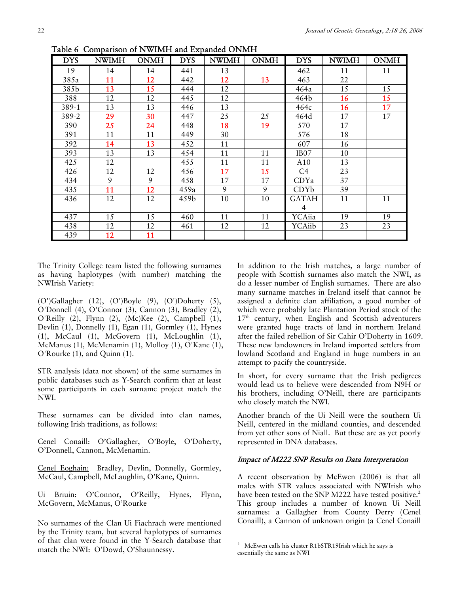| <b>DYS</b> | <b>NWIMH</b> | <b>ONMH</b> | <b>DYS</b> | <b>NWIMH</b> | <b>ONMH</b>     | <b>DYS</b>       | <b>NWIMH</b> | <b>ONMH</b> |
|------------|--------------|-------------|------------|--------------|-----------------|------------------|--------------|-------------|
| 19         | 14           | 14          | 441        | 13           |                 | 462              | 11           | 11          |
| 385a       | 11           | 12          | 442        | 12           | 13              | 463              | 22           |             |
| 385b       | 13           | 15          | 444        | 12           |                 | 464a             | 15           | 15          |
| 388        | 12           | 12          | 445        | 12           |                 | 464b             | 16           | 15          |
| 389-1      | 13           | 13          | 446        | 13           |                 | 464c             | 16           | 17          |
| 389-2      | 29           | 30          | 447        | 25           | 25              | 464d             | 17           | 17          |
| 390        | 25           | 24          | 448        | 18           | 19 <sup>°</sup> | 570              | 17           |             |
| 391        | 11           | 11          | 449        | 30           |                 | 576              | 18           |             |
| 392        | 14           | 13          | 452        | 11           |                 | 607              | 16           |             |
| 393        | 13           | 13          | 454        | 11           | 11              | IB <sub>07</sub> | 10           |             |
| 425        | 12           |             | 455        | 11           | 11              | A10              | 13           |             |
| 426        | 12           | 12          | 456        | 17           | 15              | C <sub>4</sub>   | 23           |             |
| 434        | 9            | 9           | 458        | 17           | 17              | CDYa             | 37           |             |
| 435        | 11           | 12          | 459a       | 9            | 9               | CDYb             | 39           |             |
| 436        | 12           | 12          | 459b       | 10           | 10              | <b>GATAH</b>     | 11           | 11          |
|            |              |             |            |              |                 | 4                |              |             |
| 437        | 15           | 15          | 460        | 11           | 11              | YCAiia           | 19           | 19          |
| 438        | 12           | 12          | 461        | 12           | 12              | YCAiib           | 23           | 23          |
| 439        | 12           | 11          |            |              |                 |                  |              |             |

Table 6 Comparison of NWIMH and Expanded ONMH

The Trinity College team listed the following surnames as having haplotypes (with number) matching the NWIrish Variety:

(O')Gallagher (12), (O')Boyle (9), (O')Doherty (5), O'Donnell (4), O'Connor (3), Cannon (3), Bradley (2), O'Reilly (2), Flynn (2), (Mc)Kee (2), Campbell (1), Devlin (1), Donnelly (1), Egan (1), Gormley (1), Hynes (1), McCaul (1), McGovern (1), McLoughlin (1), McManus (1), McMenamin (1), Molloy (1), O'Kane (1), O'Rourke (1), and Quinn (1).

STR analysis (data not shown) of the same surnames in public databases such as Y-Search confirm that at least some participants in each surname project match the NWI.

These surnames can be divided into clan names, following Irish traditions, as follows:

Cenel Conaill: O'Gallagher, O'Boyle, O'Doherty, O'Donnell, Cannon, McMenamin.

Cenel Eoghain: Bradley, Devlin, Donnelly, Gormley, McCaul, Campbell, McLaughlin, O'Kane, Quinn.

Ui Briuin: O'Connor, O'Reilly, Hynes, Flynn, McGovern, McManus, O'Rourke

No surnames of the Clan Ui Fiachrach were mentioned by the Trinity team, but several haplotypes of surnames of that clan were found in the Y-Search database that match the NWI: O'Dowd, O'Shaunnessy.

In addition to the Irish matches, a large number of people with Scottish surnames also match the NWI, as do a lesser number of English surnames. There are also many surname matches in Ireland itself that cannot be assigned a definite clan affiliation, a good number of which were probably late Plantation Period stock of the  $17<sup>th</sup>$  century, when English and Scottish adventurers were granted huge tracts of land in northern Ireland after the failed rebellion of Sir Cahir O'Doherty in 1609. These new landowners in Ireland imported settlers from lowland Scotland and England in huge numbers in an attempt to pacify the countryside.

In short, for every surname that the Irish pedigrees would lead us to believe were descended from N9H or his brothers, including O'Neill, there are participants who closely match the NWI.

Another branch of the Ui Neill were the southern Ui Neill, centered in the midland counties, and descended from yet other sons of Niall. But these are as yet poorly represented in DNA databases.

#### Impact of M222 SNP Results on Data Interpretation

A recent observation by McEwen (2006) is that all males with STR values associated with NWIrish who have been tested on the SNP M222 have tested positive.<sup>2</sup> This group includes a number of known Ui Neill surnames: a Gallagher from County Derry (Cenel Conaill), a Cannon of unknown origin (a Cenel Conaill

 $\overline{a}$ 

<sup>&</sup>lt;sup>2</sup> McEwen calls his cluster R1bSTR19Irish which he says is essentially the same as NWI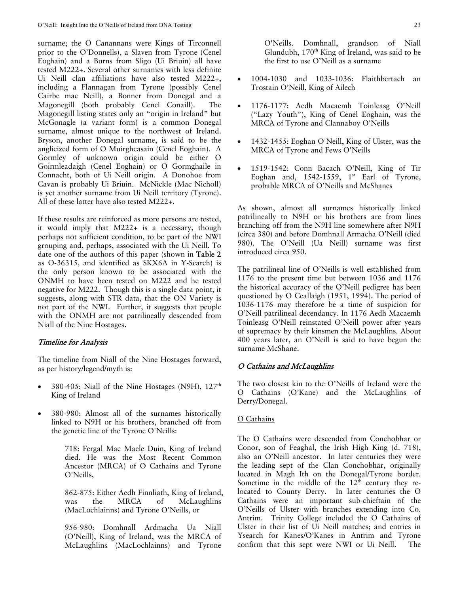surname; the O Canannans were Kings of Tirconnell prior to the O'Donnells), a Slaven from Tyrone (Cenel Eoghain) and a Burns from Sligo (Ui Briuin) all have tested M222+. Several other surnames with less definite Ui Neill clan affiliations have also tested M222+, including a Flannagan from Tyrone (possibly Cenel Cairbe mac Neill), a Bonner from Donegal and a Magonegill (both probably Cenel Conaill). The Magonegill listing states only an "origin in Ireland" but McGonagle (a variant form) is a common Donegal surname, almost unique to the northwest of Ireland. Bryson, another Donegal surname, is said to be the anglicized form of O Muirgheasain (Cenel Eoghain). A Gormley of unknown origin could be either O Goirmleadaigh (Cenel Eoghain) or O Gormghaile in Connacht, both of Ui Neill origin. A Donohoe from Cavan is probably Ui Briuin. McNickle (Mac Nicholl) is yet another surname from Ui Neill territory (Tyrone). All of these latter have also tested M222+.

If these results are reinforced as more persons are tested, it would imply that M222+ is a necessary, though perhaps not sufficient condition, to be part of the NWI grouping and, perhaps, associated with the Ui Neill. To date one of the authors of this paper (shown in Table 2 as O-36315, and identified as SKX6A in Y-Search) is the only person known to be associated with the ONMH to have been tested on M222 and he tested negative for M222. Though this is a single data point, it suggests, along with STR data, that the ON Variety is not part of the NWI. Further, it suggests that people with the ONMH are not patrilineally descended from Niall of the Nine Hostages.

### Timeline for Analysis

The timeline from Niall of the Nine Hostages forward, as per history/legend/myth is:

- 380-405: Niall of the Nine Hostages (N9H),  $127<sup>th</sup>$ King of Ireland
- 380-980: Almost all of the surnames historically linked to N9H or his brothers, branched off from the genetic line of the Tyrone O'Neills:

718: Fergal Mac Maele Duin, King of Ireland died. He was the Most Recent Common Ancestor (MRCA) of O Cathains and Tyrone O'Neills,

862-875: Either Aedh Finnliath, King of Ireland, was the MRCA of McLaughlins (MacLochlainns) and Tyrone O'Neills, or

956-980: Domhnall Ardmacha Ua Niall (O'Neill), King of Ireland, was the MRCA of McLaughlins (MacLochlainns) and Tyrone O'Neills. Domhnall, grandson of Niall Glundubh, 170th King of Ireland, was said to be the first to use O'Neill as a surname

- 1004-1030 and 1033-1036: Flaithbertach an Trostain O'Neill, King of Ailech
- 1176-1177: Aedh Macaemh Toinleasg O'Neill ("Lazy Youth"), King of Cenel Eoghain, was the MRCA of Tyrone and Clannaboy O'Neills
- 1432-1455: Eoghan O'Neill, King of Ulster, was the MRCA of Tyrone and Fews O'Neills
- 1519-1542: Conn Bacach O'Neill, King of Tir Eoghan and,  $1542-1559$ ,  $1^{st}$  Earl of Tyrone, probable MRCA of O'Neills and McShanes

As shown, almost all surnames historically linked patrilineally to N9H or his brothers are from lines branching off from the N9H line somewhere after N9H (circa 380) and before Domhnall Armacha O'Neill (died 980). The O'Neill (Ua Neill) surname was first introduced circa 950.

The patrilineal line of O'Neills is well established from 1176 to the present time but between 1036 and 1176 the historical accuracy of the O'Neill pedigree has been questioned by O Ceallaigh (1951, 1994). The period of 1036-1176 may therefore be a time of suspicion for O'Neill patrilineal decendancy. In 1176 Aedh Macaemh Toinleasg O'Neill reinstated O'Neill power after years of supremacy by their kinsmen the McLaughlins. About 400 years later, an O'Neill is said to have begun the surname McShane.

#### O Cathains and McLaughlins

The two closest kin to the O'Neills of Ireland were the O Cathains (O'Kane) and the McLaughlins of Derry/Donegal.

### O Cathains

The O Cathains were descended from Conchobhar or Conor, son of Feaghal, the Irish High King (d. 718), also an O'Neill ancestor. In later centuries they were the leading sept of the Clan Conchobhar, originally located in Magh Ith on the Donegal/Tyrone border. Sometime in the middle of the  $12<sup>th</sup>$  century they relocated to County Derry. In later centuries the O Cathains were an important sub-chieftain of the O'Neills of Ulster with branches extending into Co. Antrim. Trinity College included the O Cathains of Ulster in their list of Ui Neill matches; and entries in Ysearch for Kanes/O'Kanes in Antrim and Tyrone confirm that this sept were NWI or Ui Neill. The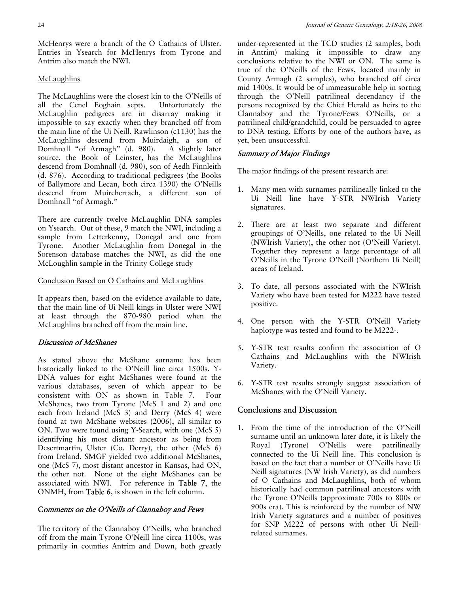McHenrys were a branch of the O Cathains of Ulster. Entries in Ysearch for McHenrys from Tyrone and Antrim also match the NWI.

### **McLaughlins**

The McLaughlins were the closest kin to the O'Neills of all the Cenel Eoghain septs. Unfortunately the McLaughlin pedigrees are in disarray making it impossible to say exactly when they branched off from the main line of the Ui Neill. Rawlinson (c1130) has the McLaughlins descend from Muirdaigh, a son of Domhnall "of Armagh" (d. 980). A slightly later source, the Book of Leinster, has the McLaughlins descend from Domhnall (d. 980), son of Aedh Finnleith (d. 876). According to traditional pedigrees (the Books of Ballymore and Lecan, both circa 1390) the O'Neills descend from Muirchertach, a different son of Domhnall "of Armagh."

There are currently twelve McLaughlin DNA samples on Ysearch. Out of these, 9 match the NWI, including a sample from Letterkenny, Donegal and one from Tyrone. Another McLaughlin from Donegal in the Sorenson database matches the NWI, as did the one McLoughlin sample in the Trinity College study

### Conclusion Based on O Cathains and McLaughlins

It appears then, based on the evidence available to date, that the main line of Ui Neill kings in Ulster were NWI at least through the 870-980 period when the McLaughlins branched off from the main line.

### Discussion of McShanes

As stated above the McShane surname has been historically linked to the O'Neill line circa 1500s. Y-DNA values for eight McShanes were found at the various databases, seven of which appear to be consistent with ON as shown in Table 7. Four McShanes, two from Tyrone (McS 1 and 2) and one each from Ireland (McS 3) and Derry (McS 4) were found at two McShane websites (2006), all similar to ON. Two were found using Y-Search, with one (McS 5) identifying his most distant ancestor as being from Desertmartin, Ulster (Co. Derry), the other (McS 6) from Ireland. SMGF yielded two additional McShanes, one (McS 7), most distant ancestor in Kansas, had ON, the other not. None of the eight McShanes can be associated with NWI. For reference in Table 7, the ONMH, from Table 6, is shown in the left column.

### Comments on the O'Neills of Clannaboy and Fews

The territory of the Clannaboy O'Neills, who branched off from the main Tyrone O'Neill line circa 1100s, was primarily in counties Antrim and Down, both greatly

under-represented in the TCD studies (2 samples, both in Antrim) making it impossible to draw any conclusions relative to the NWI or ON. The same is true of the O'Neills of the Fews, located mainly in County Armagh (2 samples), who branched off circa mid 1400s. It would be of immeasurable help in sorting through the O'Neill patrilineal decendancy if the persons recognized by the Chief Herald as heirs to the Clannaboy and the Tyrone/Fews O'Neills, or a patrilineal child/grandchild, could be persuaded to agree to DNA testing. Efforts by one of the authors have, as yet, been unsuccessful.

## Summary of Major Findings

The major findings of the present research are:

- 1. Many men with surnames patrilineally linked to the Ui Neill line have Y-STR NWIrish Variety signatures.
- 2. There are at least two separate and different groupings of O'Neills, one related to the Ui Neill (NWIrish Variety), the other not (O'Neill Variety). Together they represent a large percentage of all O'Neills in the Tyrone O'Neill (Northern Ui Neill) areas of Ireland.
- 3. To date, all persons associated with the NWIrish Variety who have been tested for M222 have tested positive.
- 4. One person with the Y-STR O'Neill Variety haplotype was tested and found to be M222-.
- 5. Y-STR test results confirm the association of O Cathains and McLaughlins with the NWIrish Variety.
- 6. Y-STR test results strongly suggest association of McShanes with the O'Neill Variety.

# Conclusions and Discussion

1. From the time of the introduction of the O'Neill surname until an unknown later date, it is likely the Royal (Tyrone) O'Neills were patrilineally connected to the Ui Neill line. This conclusion is based on the fact that a number of O'Neills have Ui Neill signatures (NW Irish Variety), as did numbers of O Cathains and McLaughlins, both of whom historically had common patrilineal ancestors with the Tyrone O'Neills (approximate 700s to 800s or 900s era). This is reinforced by the number of NW Irish Variety signatures and a number of positives for SNP M222 of persons with other Ui Neillrelated surnames.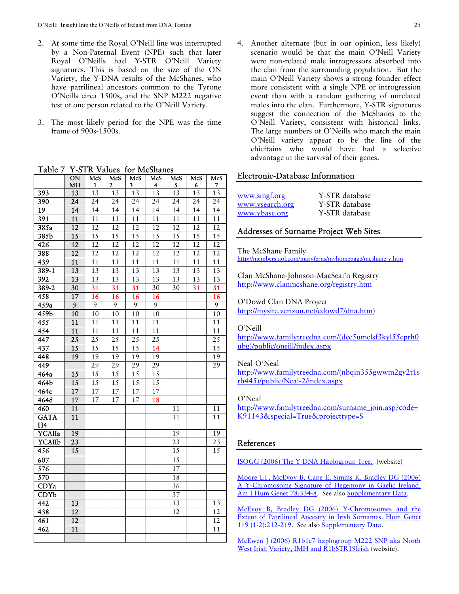- 2. At some time the Royal O'Neill line was interrupted by a Non-Paternal Event (NPE) such that later Royal O'Neills had Y-STR O'Neill Variety signatures. This is based on the size of the ON Variety, the Y-DNA results of the McShanes, who have patrilineal ancestors common to the Tyrone O'Neills circa 1500s, and the SNP M222 negative test of one person related to the O'Neill Variety.
- 3. The most likely period for the NPE was the time frame of 900s-1500s.

|                   | $\overline{ON}$ | McS             | McS                     | McS             | McS             | McS             | McS             | McS             |
|-------------------|-----------------|-----------------|-------------------------|-----------------|-----------------|-----------------|-----------------|-----------------|
|                   | MH              | 1               | $\overline{\mathbf{c}}$ | 3               | 4               | 5               | 6               | $\overline{7}$  |
| 393               | $\overline{13}$ | $\overline{13}$ | $\overline{13}$         | $\overline{13}$ | $\overline{13}$ | $\overline{13}$ | $\overline{13}$ | $\overline{13}$ |
| 390               | $\overline{24}$ | $\overline{24}$ | $\overline{24}$         | $\overline{24}$ | $\overline{24}$ | $\overline{24}$ | $\overline{24}$ | $\overline{24}$ |
| $\overline{19}$   | 14              | 14              | 14                      | $\overline{14}$ | $\overline{14}$ | $\overline{14}$ | $\overline{14}$ | $\overline{14}$ |
| 391               | 11              | 11              | 11                      | 11              | 11              | 11              | 11              | 11              |
| $\overline{385a}$ | $\overline{12}$ | 12              | 12                      | 12              | 12              | 12              | 12              | $\overline{12}$ |
| 385 <sub>b</sub>  | $\overline{15}$ | 15              | 15                      | 15              | 15              | 15              | 15              | 15              |
| $\overline{426}$  | $\overline{12}$ | $\overline{12}$ | $\overline{12}$         | $\overline{12}$ | $\overline{12}$ | $\overline{12}$ | $\overline{12}$ | $\overline{12}$ |
| 388               | $\overline{12}$ | $\overline{12}$ | $\overline{12}$         | $\overline{12}$ | $\overline{12}$ | $\overline{12}$ | $\overline{12}$ | $\overline{12}$ |
| 439               | $\overline{11}$ | $\overline{11}$ | $\overline{11}$         | $\overline{11}$ | $\overline{11}$ | $\overline{11}$ | $\overline{11}$ | $\overline{11}$ |
| $389 - 1$         | $\overline{13}$ | $\overline{13}$ | $\overline{13}$         | $\overline{13}$ | $\overline{13}$ | $\overline{13}$ | $\overline{13}$ | $\overline{13}$ |
| 392               | 13              | 13              | 13                      | 13              | 13              | 13              | 13              | $\overline{13}$ |
| $389 - 2$         | $\overline{30}$ | 31              | 31                      | $\overline{31}$ | 30              | 30              | 31              | 31              |
| 458               | $\overline{17}$ | $\overline{16}$ | $\overline{16}$         | $\overline{16}$ | $\overline{16}$ |                 |                 | 16              |
| 459a              | $\overline{9}$  | $\overline{9}$  | $\overline{9}$          | 9               | $\overline{9}$  |                 |                 | 9               |
| 459 <sub>b</sub>  | $\overline{10}$ | 10              | $\overline{10}$         | 10              | 10              |                 |                 | $\overline{10}$ |
| 455               | $\overline{11}$ | $\overline{11}$ | $\overline{11}$         | $\overline{11}$ | $\overline{11}$ |                 |                 | $\overline{11}$ |
| 454               | 11              | 11              | 11                      | 11              | 11              |                 |                 | 11              |
| $\overline{447}$  | $\overline{25}$ | $\overline{25}$ | $\overline{25}$         | $\overline{25}$ | $\overline{25}$ |                 |                 | $\overline{25}$ |
| 437               | 15              | 15              | $\overline{15}$         | 15              | 14              |                 |                 | 15              |
| 448               | $\overline{19}$ | $\overline{19}$ | $\overline{19}$         | $\overline{19}$ | 19              |                 |                 | $\overline{19}$ |
| 449               |                 | 29              | 29                      | 29              | 29              |                 |                 | 29              |
| 464a              | 15              | $\overline{15}$ | $\overline{15}$         | $\overline{15}$ | $\overline{15}$ |                 |                 |                 |
| 464b              | $\overline{15}$ | $\overline{15}$ | $\overline{15}$         | 15              | $\overline{1}5$ |                 |                 |                 |
| 464c              | $\overline{17}$ | 17              | 17                      | 17              | 17              |                 |                 |                 |
| 464d              | 17              | 17              | 17                      | 17              | 18              |                 |                 |                 |
| 460               | 11              |                 |                         |                 |                 | 11              |                 | 11              |
| <b>GATA</b>       | 11              |                 |                         |                 |                 | 11              |                 | 11              |
| H <sub>4</sub>    |                 |                 |                         |                 |                 |                 |                 |                 |
| YCAIIa            | $\overline{19}$ |                 |                         |                 |                 | 19              |                 | 19              |
| <b>YCAIIb</b>     | 23              |                 |                         |                 |                 | 23              |                 | 23              |
| 456               | $\overline{15}$ |                 |                         |                 |                 | $\overline{15}$ |                 | 15              |
| $\overline{607}$  |                 |                 |                         |                 |                 | $\overline{15}$ |                 |                 |
| $\overline{576}$  |                 |                 |                         |                 |                 | $\overline{17}$ |                 |                 |
| 570               |                 |                 |                         |                 |                 | 18              |                 |                 |
| <b>CDYa</b>       |                 |                 |                         |                 |                 | $\overline{36}$ |                 |                 |
| CDYb              |                 |                 |                         |                 |                 | 37              |                 |                 |
| 442               | $\overline{13}$ |                 |                         |                 |                 | $\overline{13}$ |                 | 13              |
| $\overline{438}$  | 12              |                 |                         |                 |                 | 12              |                 | $\overline{12}$ |
| 461               | $\overline{12}$ |                 |                         |                 |                 |                 |                 | $\overline{12}$ |
| 462               | $\overline{11}$ |                 |                         |                 |                 |                 |                 | $\overline{11}$ |
|                   |                 |                 |                         |                 |                 |                 |                 |                 |

Table 7 Y-STR Values for McShanes

4. Another alternate (but in our opinion, less likely) scenario would be that the main O'Neill Variety were non-related male introgressors absorbed into the clan from the surrounding population. But the main O'Neill Variety shows a strong founder effect more consistent with a single NPE or introgression event than with a random gathering of unrelated males into the clan. Furthermore, Y-STR signatures suggest the connection of the McShanes to the O'Neill Variety, consistent with historical links. The large numbers of O'Neills who match the main O'Neill variety appear to be the line of the chieftains who would have had a selective advantage in the survival of their genes.

### Electronic-Database Information

| www.smgf.org    | Y-STR database |
|-----------------|----------------|
| www.ysearch.org | Y-STR database |
| www.ybase.org   | Y-STR database |

### Addresses of Surname Project Web Sites

The McShane Family http://members.aol.com/maryferns/myhomepage/mcshane-y.htm

Clan McShane-Johnson-MacSeai'n Registry http://www.clanmcshane.org/registry.htm

O'Dowd Clan DNA Project http://mysite.verizon.net/cdowd7/dna.htm)

#### O'Neill

http://www.familytreedna.com/(dcc5umelsf3kyl55cprh0 ubg)/public/oneill/index.aspx

#### Neal-O'Neal

http://www.familytreedna.com/(nbqin355gwwm2gy2t1s rh445)/public/Neal-2/index.aspx

#### O'Neal

http://www.familytreedna.com/surname\_join.asp?code= K91143&special=True&projecttype=S

#### References

ISOGG (2006) The Y-DNA Haplogroup Tree. (website)

Moore LT, McEvoy B, Cape E, Simms K, Bradley DG (2006) A Y-Chromosome Signature of Hegemony in Gaelic Ireland. Am J Hum Genet 78:334-8. See also Supplementary Data.

McEvoy B, Bradley DG (2006) Y-Chromosomes and the Extent of Patrilineal Ancestry in Irish Surnames. Hum Genet 119 (1-2):212-219. See also Supplementary Data.

McEwen J (2006) R1b1c7 haplogroup M222 SNP aka North West Irish Variety, IMH and R1bSTR19Irish (website).